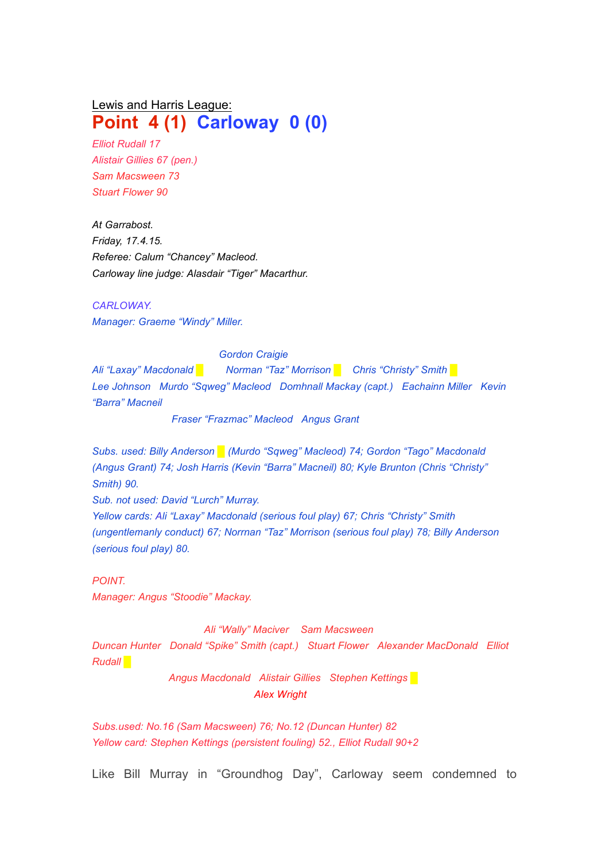## Lewis and Harris League: **Point 4 (1) Carloway 0 (0)**

*Elliot Rudall 17 Alistair Gillies 67 (pen.) Sam Macsween 73 Stuart Flower 90*

*At Garrabost. Friday, 17.4.15. Referee: Calum "Chancey" Macleod. Carloway line judge: Alasdair "Tiger" Macarthur.*

*CARLOWAY. Manager: Graeme "Windy" Miller.*

## *Gordon Craigie*

*Ali "Laxay" Macdonald* █ *Norman "Taz" Morrison █ Chris "Christy" Smith █ Lee Johnson Murdo "Sqweg" Macleod Domhnall Mackay (capt.) Eachainn Miller Kevin "Barra" Macneil*

*Fraser "Frazmac" Macleod Angus Grant*

*Subs. used: Billy Anderson █ (Murdo "Sqweg" Macleod) 74; Gordon "Tago" Macdonald (Angus Grant) 74; Josh Harris (Kevin "Barra" Macneil) 80; Kyle Brunton (Chris "Christy" Smith) 90.*

*Sub. not used: David "Lurch" Murray.*

*Yellow cards: Ali "Laxay" Macdonald (serious foul play) 67; Chris "Christy" Smith (ungentlemanly conduct) 67; Norrnan "Taz" Morrison (serious foul play) 78; Billy Anderson (serious foul play) 80.*

*POINT.*

*Manager: Angus "Stoodie" Mackay.*

*Ali "Wally" Maciver Sam Macsween Duncan Hunter Donald "Spike" Smith (capt.) Stuart Flower Alexander MacDonald Elliot Rudall █*

> *Angus Macdonald Alistair Gillies Stephen Kettings* █ *Alex Wright*

*Subs.used: No.16 (Sam Macsween) 76; No.12 (Duncan Hunter) 82 Yellow card: Stephen Kettings (persistent fouling) 52., Elliot Rudall 90+2*

Like Bill Murray in "Groundhog Day", Carloway seem condemned to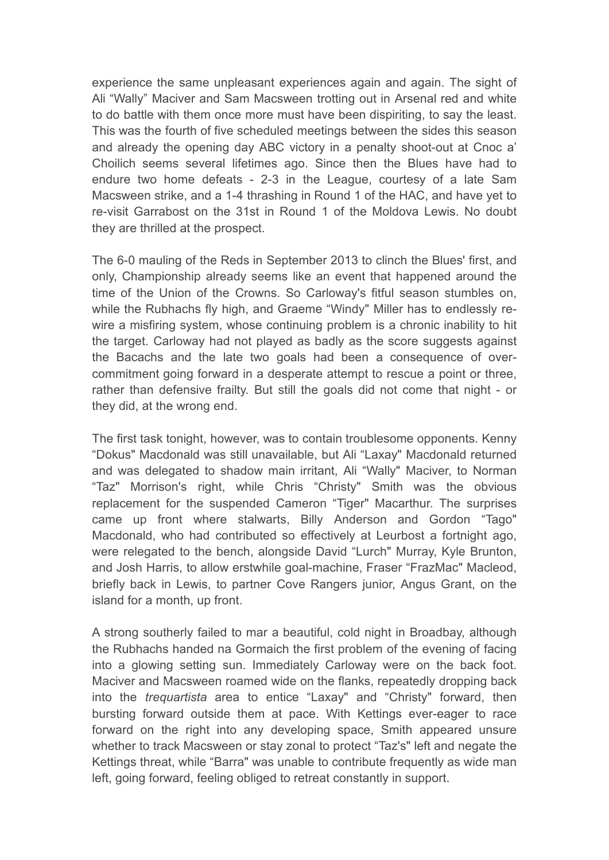experience the same unpleasant experiences again and again. The sight of Ali "Wally" Maciver and Sam Macsween trotting out in Arsenal red and white to do battle with them once more must have been dispiriting, to say the least. This was the fourth of five scheduled meetings between the sides this season and already the opening day ABC victory in a penalty shoot-out at Cnoc a' Choilich seems several lifetimes ago. Since then the Blues have had to endure two home defeats - 2-3 in the League, courtesy of a late Sam Macsween strike, and a 1-4 thrashing in Round 1 of the HAC, and have yet to re-visit Garrabost on the 31st in Round 1 of the Moldova Lewis. No doubt they are thrilled at the prospect.

The 6-0 mauling of the Reds in September 2013 to clinch the Blues' first, and only, Championship already seems like an event that happened around the time of the Union of the Crowns. So Carloway's fitful season stumbles on, while the Rubhachs fly high, and Graeme "Windy" Miller has to endlessly rewire a misfiring system, whose continuing problem is a chronic inability to hit the target. Carloway had not played as badly as the score suggests against the Bacachs and the late two goals had been a consequence of overcommitment going forward in a desperate attempt to rescue a point or three, rather than defensive frailty. But still the goals did not come that night - or they did, at the wrong end.

The first task tonight, however, was to contain troublesome opponents. Kenny "Dokus" Macdonald was still unavailable, but Ali "Laxay" Macdonald returned and was delegated to shadow main irritant, Ali "Wally" Maciver, to Norman "Taz" Morrison's right, while Chris "Christy" Smith was the obvious replacement for the suspended Cameron "Tiger" Macarthur. The surprises came up front where stalwarts, Billy Anderson and Gordon "Tago" Macdonald, who had contributed so effectively at Leurbost a fortnight ago, were relegated to the bench, alongside David "Lurch" Murray, Kyle Brunton, and Josh Harris, to allow erstwhile goal-machine, Fraser "FrazMac" Macleod, briefly back in Lewis, to partner Cove Rangers junior, Angus Grant, on the island for a month, up front.

A strong southerly failed to mar a beautiful, cold night in Broadbay, although the Rubhachs handed na Gormaich the first problem of the evening of facing into a glowing setting sun. Immediately Carloway were on the back foot. Maciver and Macsween roamed wide on the flanks, repeatedly dropping back into the *trequartista* area to entice "Laxay" and "Christy" forward, then bursting forward outside them at pace. With Kettings ever-eager to race forward on the right into any developing space, Smith appeared unsure whether to track Macsween or stay zonal to protect "Taz's" left and negate the Kettings threat, while "Barra" was unable to contribute frequently as wide man left, going forward, feeling obliged to retreat constantly in support.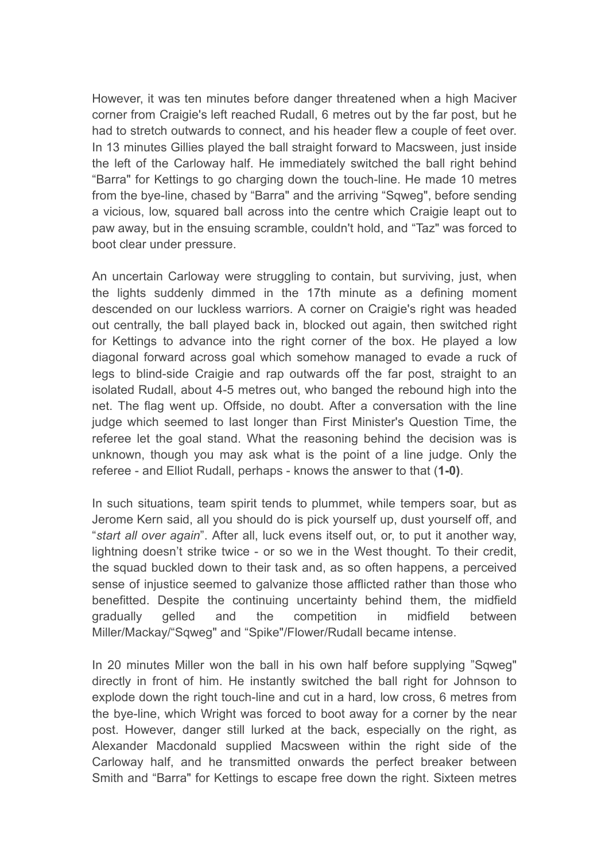However, it was ten minutes before danger threatened when a high Maciver corner from Craigie's left reached Rudall, 6 metres out by the far post, but he had to stretch outwards to connect, and his header flew a couple of feet over. In 13 minutes Gillies played the ball straight forward to Macsween, just inside the left of the Carloway half. He immediately switched the ball right behind "Barra" for Kettings to go charging down the touch-line. He made 10 metres from the bye-line, chased by "Barra" and the arriving "Sqweg", before sending a vicious, low, squared ball across into the centre which Craigie leapt out to paw away, but in the ensuing scramble, couldn't hold, and "Taz" was forced to boot clear under pressure.

An uncertain Carloway were struggling to contain, but surviving, just, when the lights suddenly dimmed in the 17th minute as a defining moment descended on our luckless warriors. A corner on Craigie's right was headed out centrally, the ball played back in, blocked out again, then switched right for Kettings to advance into the right corner of the box. He played a low diagonal forward across goal which somehow managed to evade a ruck of legs to blind-side Craigie and rap outwards off the far post, straight to an isolated Rudall, about 4-5 metres out, who banged the rebound high into the net. The flag went up. Offside, no doubt. After a conversation with the line judge which seemed to last longer than First Minister's Question Time, the referee let the goal stand. What the reasoning behind the decision was is unknown, though you may ask what is the point of a line judge. Only the referee - and Elliot Rudall, perhaps - knows the answer to that (**1-0)**.

In such situations, team spirit tends to plummet, while tempers soar, but as Jerome Kern said, all you should do is pick yourself up, dust yourself off, and "*start all over again*". After all, luck evens itself out, or, to put it another way, lightning doesn't strike twice - or so we in the West thought. To their credit, the squad buckled down to their task and, as so often happens, a perceived sense of injustice seemed to galvanize those afflicted rather than those who benefitted. Despite the continuing uncertainty behind them, the midfield gradually gelled and the competition in midfield between Miller/Mackay/"Sqweg" and "Spike"/Flower/Rudall became intense.

In 20 minutes Miller won the ball in his own half before supplying "Sqweg" directly in front of him. He instantly switched the ball right for Johnson to explode down the right touch-line and cut in a hard, low cross, 6 metres from the bye-line, which Wright was forced to boot away for a corner by the near post. However, danger still lurked at the back, especially on the right, as Alexander Macdonald supplied Macsween within the right side of the Carloway half, and he transmitted onwards the perfect breaker between Smith and "Barra" for Kettings to escape free down the right. Sixteen metres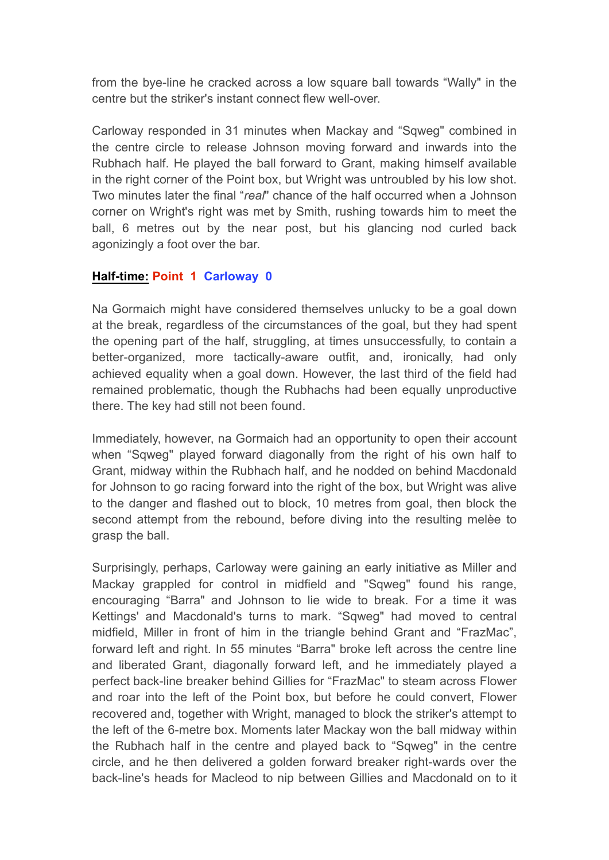from the bye-line he cracked across a low square ball towards "Wally" in the centre but the striker's instant connect flew well-over.

Carloway responded in 31 minutes when Mackay and "Sqweg" combined in the centre circle to release Johnson moving forward and inwards into the Rubhach half. He played the ball forward to Grant, making himself available in the right corner of the Point box, but Wright was untroubled by his low shot. Two minutes later the final "*real*" chance of the half occurred when a Johnson corner on Wright's right was met by Smith, rushing towards him to meet the ball, 6 metres out by the near post, but his glancing nod curled back agonizingly a foot over the bar.

## **Half-time: Point 1 Carloway 0**

Na Gormaich might have considered themselves unlucky to be a goal down at the break, regardless of the circumstances of the goal, but they had spent the opening part of the half, struggling, at times unsuccessfully, to contain a better-organized, more tactically-aware outfit, and, ironically, had only achieved equality when a goal down. However, the last third of the field had remained problematic, though the Rubhachs had been equally unproductive there. The key had still not been found.

Immediately, however, na Gormaich had an opportunity to open their account when "Sqweg" played forward diagonally from the right of his own half to Grant, midway within the Rubhach half, and he nodded on behind Macdonald for Johnson to go racing forward into the right of the box, but Wright was alive to the danger and flashed out to block, 10 metres from goal, then block the second attempt from the rebound, before diving into the resulting melèe to grasp the ball.

Surprisingly, perhaps, Carloway were gaining an early initiative as Miller and Mackay grappled for control in midfield and "Sqweg" found his range, encouraging "Barra" and Johnson to lie wide to break. For a time it was Kettings' and Macdonald's turns to mark. "Sqweg" had moved to central midfield, Miller in front of him in the triangle behind Grant and "FrazMac", forward left and right. In 55 minutes "Barra" broke left across the centre line and liberated Grant, diagonally forward left, and he immediately played a perfect back-line breaker behind Gillies for "FrazMac" to steam across Flower and roar into the left of the Point box, but before he could convert, Flower recovered and, together with Wright, managed to block the striker's attempt to the left of the 6-metre box. Moments later Mackay won the ball midway within the Rubhach half in the centre and played back to "Sqweg" in the centre circle, and he then delivered a golden forward breaker right-wards over the back-line's heads for Macleod to nip between Gillies and Macdonald on to it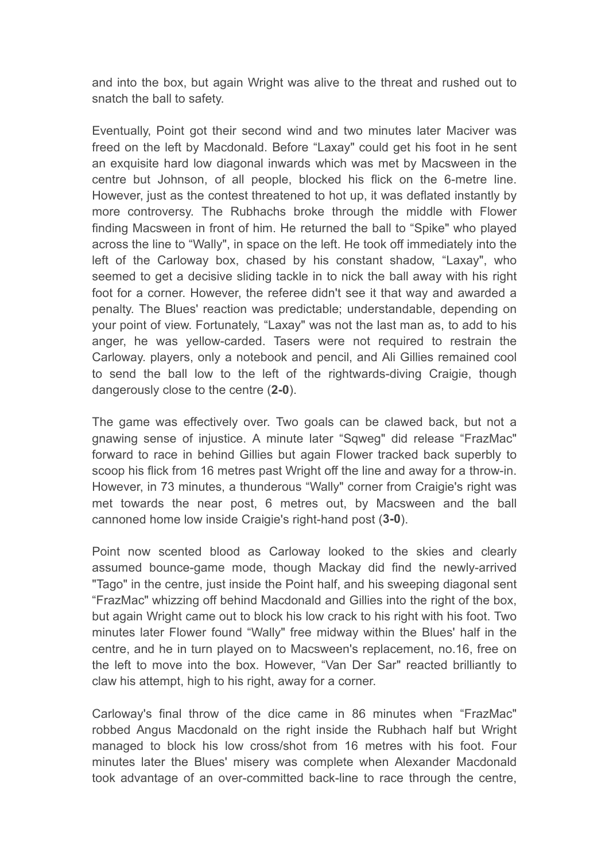and into the box, but again Wright was alive to the threat and rushed out to snatch the ball to safety.

Eventually, Point got their second wind and two minutes later Maciver was freed on the left by Macdonald. Before "Laxay" could get his foot in he sent an exquisite hard low diagonal inwards which was met by Macsween in the centre but Johnson, of all people, blocked his flick on the 6-metre line. However, just as the contest threatened to hot up, it was deflated instantly by more controversy. The Rubhachs broke through the middle with Flower finding Macsween in front of him. He returned the ball to "Spike" who played across the line to "Wally", in space on the left. He took off immediately into the left of the Carloway box, chased by his constant shadow, "Laxay", who seemed to get a decisive sliding tackle in to nick the ball away with his right foot for a corner. However, the referee didn't see it that way and awarded a penalty. The Blues' reaction was predictable; understandable, depending on your point of view. Fortunately, "Laxay" was not the last man as, to add to his anger, he was yellow-carded. Tasers were not required to restrain the Carloway. players, only a notebook and pencil, and Ali Gillies remained cool to send the ball low to the left of the rightwards-diving Craigie, though dangerously close to the centre (**2-0**).

The game was effectively over. Two goals can be clawed back, but not a gnawing sense of injustice. A minute later "Sqweg" did release "FrazMac" forward to race in behind Gillies but again Flower tracked back superbly to scoop his flick from 16 metres past Wright off the line and away for a throw-in. However, in 73 minutes, a thunderous "Wally" corner from Craigie's right was met towards the near post, 6 metres out, by Macsween and the ball cannoned home low inside Craigie's right-hand post (**3-0**).

Point now scented blood as Carloway looked to the skies and clearly assumed bounce-game mode, though Mackay did find the newly-arrived "Tago" in the centre, just inside the Point half, and his sweeping diagonal sent "FrazMac" whizzing off behind Macdonald and Gillies into the right of the box, but again Wright came out to block his low crack to his right with his foot. Two minutes later Flower found "Wally" free midway within the Blues' half in the centre, and he in turn played on to Macsween's replacement, no.16, free on the left to move into the box. However, "Van Der Sar" reacted brilliantly to claw his attempt, high to his right, away for a corner.

Carloway's final throw of the dice came in 86 minutes when "FrazMac" robbed Angus Macdonald on the right inside the Rubhach half but Wright managed to block his low cross/shot from 16 metres with his foot. Four minutes later the Blues' misery was complete when Alexander Macdonald took advantage of an over-committed back-line to race through the centre,